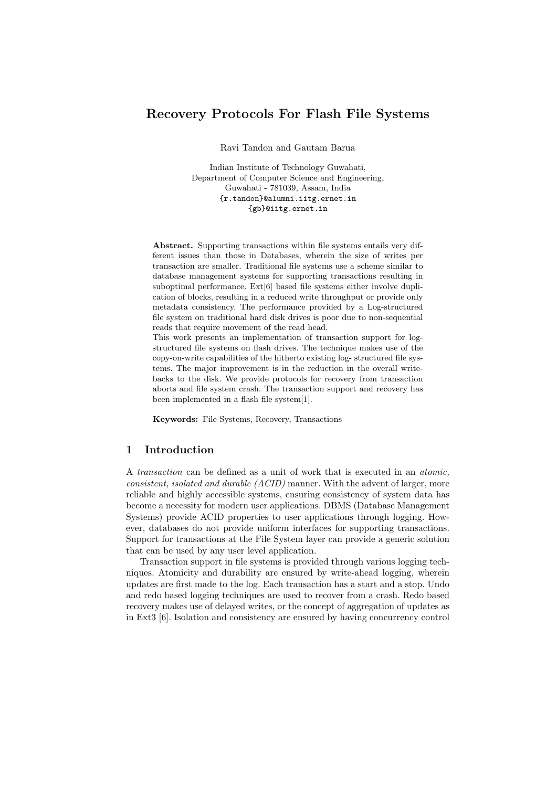# **Recovery Protocols For Flash File Systems**

Ravi Tandon and Gautam Barua

Indian Institute of Technology Guwahati, Department of Computer Science and Engineering, Guwahati - 781039, Assam, India {r.tandon}@alumni.iitg.ernet.in {gb}@iitg.ernet.in

**Abstract.** Supporting transactions within file systems entails very different issues than those in Databases, wherein the size of writes per transaction are smaller. Traditional file systems use a scheme similar to database management systems for supporting transactions resulting in suboptimal performance. Ext[6] based file systems either involve duplication of blocks, resulting in a reduced write throughput or provide only metadata consistency. The performance provided by a Log-structured file system on traditional hard disk drives is poor due to non-sequential reads that require movement of the read head.

This work presents an implementation of transaction support for logstructured file systems on flash drives. The technique makes use of the copy-on-write capabilities of the hitherto existing log- structured file systems. The major improvement is in the reduction in the overall writebacks to the disk. We provide protocols for recovery from transaction aborts and file system crash. The transaction support and recovery has been implemented in a flash file system[1].

**Keywords:** File Systems, Recovery, Transactions

## **1 Introduction**

A *transaction* can be defined as a unit of work that is executed in an *atomic, consistent, isolated and durable (ACID)* manner. With the advent of larger, more reliable and highly accessible systems, ensuring consistency of system data has become a necessity for modern user applications. DBMS (Database Management Systems) provide ACID properties to user applications through logging. However, databases do not provide uniform interfaces for supporting transactions. Support for transactions at the File System layer can provide a generic solution that can be used by any user level application.

Transaction support in file systems is provided through various logging techniques. Atomicity and durability are ensured by write-ahead logging, wherein updates are first made to the log. Each transaction has a start and a stop. Undo and redo based logging techniques are used to recover from a crash. Redo based recovery makes use of delayed writes, or the concept of aggregation of updates as in Ext3 [6]. Isolation and consistency are ensured by having concurrency control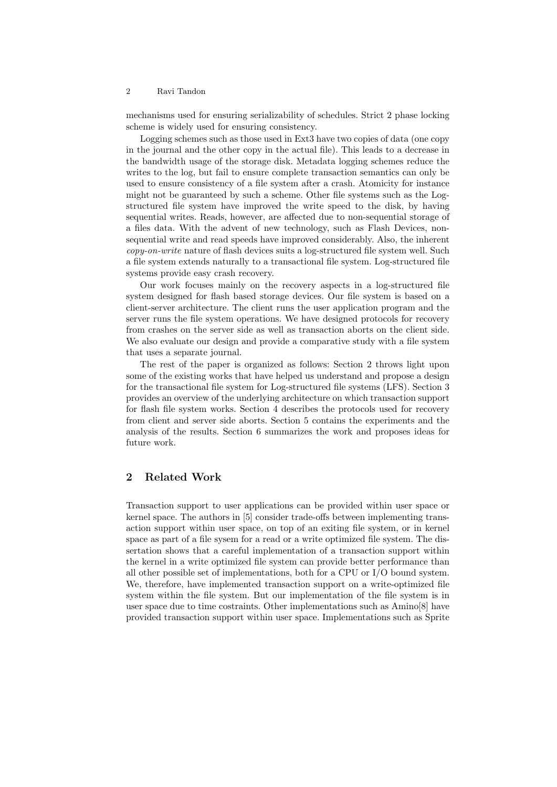mechanisms used for ensuring serializability of schedules. Strict 2 phase locking scheme is widely used for ensuring consistency.

Logging schemes such as those used in Ext3 have two copies of data (one copy in the journal and the other copy in the actual file). This leads to a decrease in the bandwidth usage of the storage disk. Metadata logging schemes reduce the writes to the log, but fail to ensure complete transaction semantics can only be used to ensure consistency of a file system after a crash. Atomicity for instance might not be guaranteed by such a scheme. Other file systems such as the Logstructured file system have improved the write speed to the disk, by having sequential writes. Reads, however, are affected due to non-sequential storage of a files data. With the advent of new technology, such as Flash Devices, nonsequential write and read speeds have improved considerably. Also, the inherent *copy-on-write* nature of flash devices suits a log-structured file system well. Such a file system extends naturally to a transactional file system. Log-structured file systems provide easy crash recovery.

Our work focuses mainly on the recovery aspects in a log-structured file system designed for flash based storage devices. Our file system is based on a client-server architecture. The client runs the user application program and the server runs the file system operations. We have designed protocols for recovery from crashes on the server side as well as transaction aborts on the client side. We also evaluate our design and provide a comparative study with a file system that uses a separate journal.

The rest of the paper is organized as follows: Section 2 throws light upon some of the existing works that have helped us understand and propose a design for the transactional file system for Log-structured file systems (LFS). Section 3 provides an overview of the underlying architecture on which transaction support for flash file system works. Section 4 describes the protocols used for recovery from client and server side aborts. Section 5 contains the experiments and the analysis of the results. Section 6 summarizes the work and proposes ideas for future work.

## **2 Related Work**

Transaction support to user applications can be provided within user space or kernel space. The authors in [5] consider trade-offs between implementing transaction support within user space, on top of an exiting file system, or in kernel space as part of a file sysem for a read or a write optimized file system. The dissertation shows that a careful implementation of a transaction support within the kernel in a write optimized file system can provide better performance than all other possible set of implementations, both for a CPU or I/O bound system. We, therefore, have implemented transaction support on a write-optimized file system within the file system. But our implementation of the file system is in user space due to time costraints. Other implementations such as Amino[8] have provided transaction support within user space. Implementations such as Sprite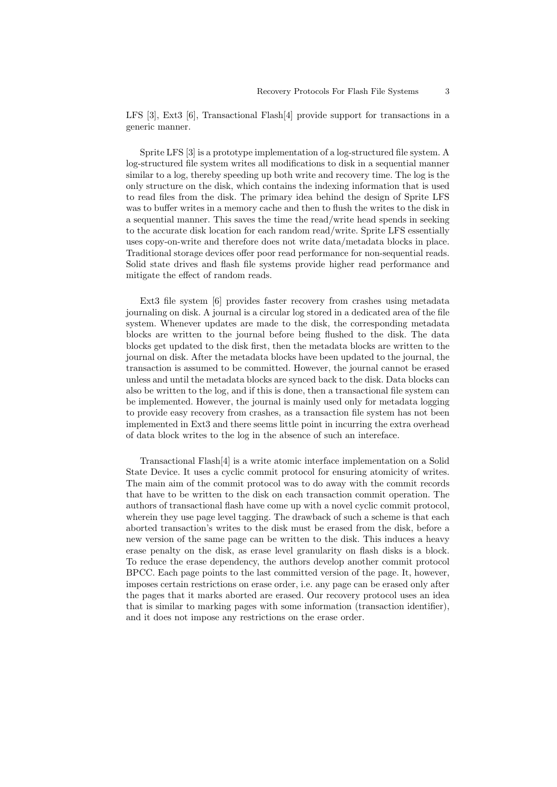LFS [3], Ext3 [6], Transactional Flash[4] provide support for transactions in a generic manner.

Sprite LFS [3] is a prototype implementation of a log-structured file system. A log-structured file system writes all modifications to disk in a sequential manner similar to a log, thereby speeding up both write and recovery time. The log is the only structure on the disk, which contains the indexing information that is used to read files from the disk. The primary idea behind the design of Sprite LFS was to buffer writes in a memory cache and then to flush the writes to the disk in a sequential manner. This saves the time the read/write head spends in seeking to the accurate disk location for each random read/write. Sprite LFS essentially uses copy-on-write and therefore does not write data/metadata blocks in place. Traditional storage devices offer poor read performance for non-sequential reads. Solid state drives and flash file systems provide higher read performance and mitigate the effect of random reads.

Ext3 file system [6] provides faster recovery from crashes using metadata journaling on disk. A journal is a circular log stored in a dedicated area of the file system. Whenever updates are made to the disk, the corresponding metadata blocks are written to the journal before being flushed to the disk. The data blocks get updated to the disk first, then the metadata blocks are written to the journal on disk. After the metadata blocks have been updated to the journal, the transaction is assumed to be committed. However, the journal cannot be erased unless and until the metadata blocks are synced back to the disk. Data blocks can also be written to the log, and if this is done, then a transactional file system can be implemented. However, the journal is mainly used only for metadata logging to provide easy recovery from crashes, as a transaction file system has not been implemented in Ext3 and there seems little point in incurring the extra overhead of data block writes to the log in the absence of such an intereface.

Transactional Flash[4] is a write atomic interface implementation on a Solid State Device. It uses a cyclic commit protocol for ensuring atomicity of writes. The main aim of the commit protocol was to do away with the commit records that have to be written to the disk on each transaction commit operation. The authors of transactional flash have come up with a novel cyclic commit protocol, wherein they use page level tagging. The drawback of such a scheme is that each aborted transaction's writes to the disk must be erased from the disk, before a new version of the same page can be written to the disk. This induces a heavy erase penalty on the disk, as erase level granularity on flash disks is a block. To reduce the erase dependency, the authors develop another commit protocol BPCC. Each page points to the last committed version of the page. It, however, imposes certain restrictions on erase order, i.e. any page can be erased only after the pages that it marks aborted are erased. Our recovery protocol uses an idea that is similar to marking pages with some information (transaction identifier), and it does not impose any restrictions on the erase order.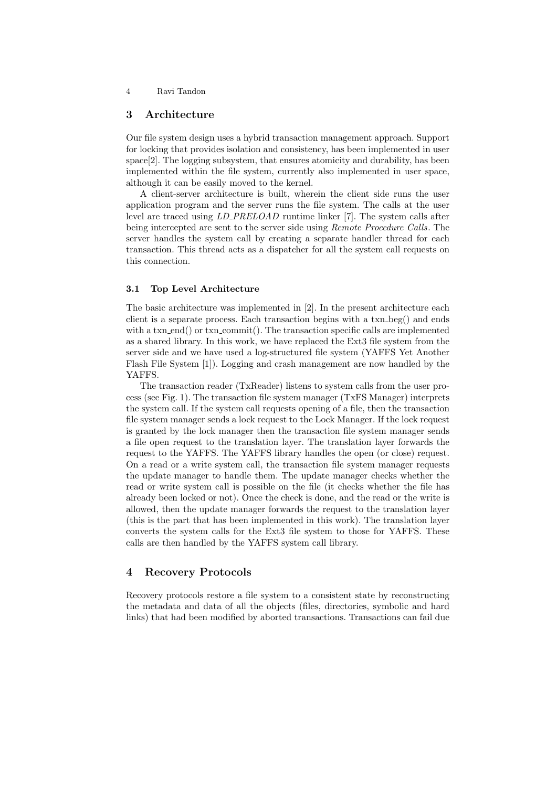#### **3 Architecture**

Our file system design uses a hybrid transaction management approach. Support for locking that provides isolation and consistency, has been implemented in user space[2]. The logging subsystem, that ensures atomicity and durability, has been implemented within the file system, currently also implemented in user space, although it can be easily moved to the kernel.

A client-server architecture is built, wherein the client side runs the user application program and the server runs the file system. The calls at the user level are traced using *LD PRELOAD* runtime linker [7]. The system calls after being intercepted are sent to the server side using *Remote Procedure Calls*. The server handles the system call by creating a separate handler thread for each transaction. This thread acts as a dispatcher for all the system call requests on this connection.

#### **3.1 Top Level Architecture**

The basic architecture was implemented in [2]. In the present architecture each client is a separate process. Each transaction begins with a  $\text{txn}\text{-}\text{beg}()$  and ends with a  $txn$ -end() or  $txn$ -commit(). The transaction specific calls are implemented as a shared library. In this work, we have replaced the Ext3 file system from the server side and we have used a log-structured file system (YAFFS Yet Another Flash File System [1]). Logging and crash management are now handled by the YAFFS.

The transaction reader (TxReader) listens to system calls from the user process (see Fig. 1). The transaction file system manager (TxFS Manager) interprets the system call. If the system call requests opening of a file, then the transaction file system manager sends a lock request to the Lock Manager. If the lock request is granted by the lock manager then the transaction file system manager sends a file open request to the translation layer. The translation layer forwards the request to the YAFFS. The YAFFS library handles the open (or close) request. On a read or a write system call, the transaction file system manager requests the update manager to handle them. The update manager checks whether the read or write system call is possible on the file (it checks whether the file has already been locked or not). Once the check is done, and the read or the write is allowed, then the update manager forwards the request to the translation layer (this is the part that has been implemented in this work). The translation layer converts the system calls for the Ext3 file system to those for YAFFS. These calls are then handled by the YAFFS system call library.

## **4 Recovery Protocols**

Recovery protocols restore a file system to a consistent state by reconstructing the metadata and data of all the objects (files, directories, symbolic and hard links) that had been modified by aborted transactions. Transactions can fail due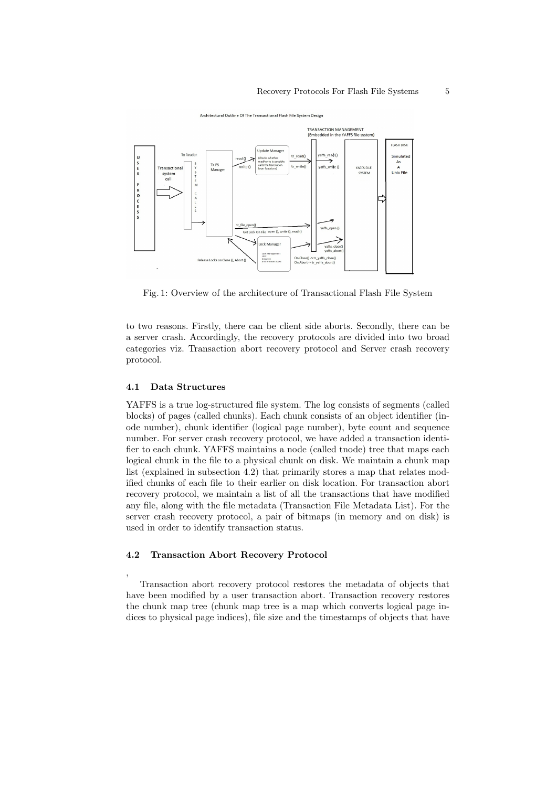

.<br>Architectural Outline Of The Transactional Flash File System Desigr

Fig. 1: Overview of the architecture of Transactional Flash File System

to two reasons. Firstly, there can be client side aborts. Secondly, there can be a server crash. Accordingly, the recovery protocols are divided into two broad categories viz. Transaction abort recovery protocol and Server crash recovery protocol.

## **4.1 Data Structures**

,

YAFFS is a true log-structured file system. The log consists of segments (called blocks) of pages (called chunks). Each chunk consists of an object identifier (inode number), chunk identifier (logical page number), byte count and sequence number. For server crash recovery protocol, we have added a transaction identifier to each chunk. YAFFS maintains a node (called tnode) tree that maps each logical chunk in the file to a physical chunk on disk. We maintain a chunk map list (explained in subsection 4.2) that primarily stores a map that relates modified chunks of each file to their earlier on disk location. For transaction abort recovery protocol, we maintain a list of all the transactions that have modified any file, along with the file metadata (Transaction File Metadata List). For the server crash recovery protocol, a pair of bitmaps (in memory and on disk) is used in order to identify transaction status.

### **4.2 Transaction Abort Recovery Protocol**

Transaction abort recovery protocol restores the metadata of objects that have been modified by a user transaction abort. Transaction recovery restores the chunk map tree (chunk map tree is a map which converts logical page indices to physical page indices), file size and the timestamps of objects that have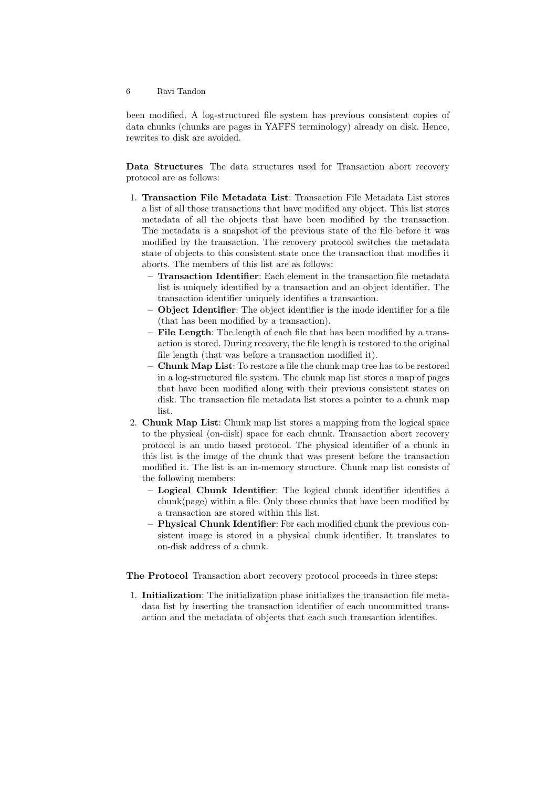been modified. A log-structured file system has previous consistent copies of data chunks (chunks are pages in YAFFS terminology) already on disk. Hence, rewrites to disk are avoided.

**Data Structures** The data structures used for Transaction abort recovery protocol are as follows:

- 1. **Transaction File Metadata List**: Transaction File Metadata List stores a list of all those transactions that have modified any object. This list stores metadata of all the objects that have been modified by the transaction. The metadata is a snapshot of the previous state of the file before it was modified by the transaction. The recovery protocol switches the metadata state of objects to this consistent state once the transaction that modifies it aborts. The members of this list are as follows:
	- **Transaction Identifier**: Each element in the transaction file metadata list is uniquely identified by a transaction and an object identifier. The transaction identifier uniquely identifies a transaction.
	- **Object Identifier**: The object identifier is the inode identifier for a file (that has been modified by a transaction).
	- **File Length**: The length of each file that has been modified by a transaction is stored. During recovery, the file length is restored to the original file length (that was before a transaction modified it).
	- **Chunk Map List**: To restore a file the chunk map tree has to be restored in a log-structured file system. The chunk map list stores a map of pages that have been modified along with their previous consistent states on disk. The transaction file metadata list stores a pointer to a chunk map list.
- 2. **Chunk Map List**: Chunk map list stores a mapping from the logical space to the physical (on-disk) space for each chunk. Transaction abort recovery protocol is an undo based protocol. The physical identifier of a chunk in this list is the image of the chunk that was present before the transaction modified it. The list is an in-memory structure. Chunk map list consists of the following members:
	- **Logical Chunk Identifier**: The logical chunk identifier identifies a chunk(page) within a file. Only those chunks that have been modified by a transaction are stored within this list.
	- **Physical Chunk Identifier**: For each modified chunk the previous consistent image is stored in a physical chunk identifier. It translates to on-disk address of a chunk.

**The Protocol** Transaction abort recovery protocol proceeds in three steps:

1. **Initialization**: The initialization phase initializes the transaction file metadata list by inserting the transaction identifier of each uncommitted transaction and the metadata of objects that each such transaction identifies.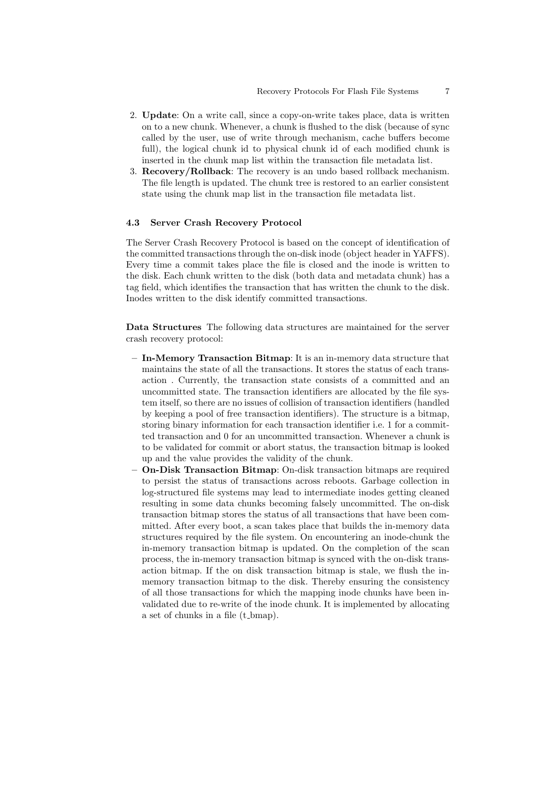- 2. **Update**: On a write call, since a copy-on-write takes place, data is written on to a new chunk. Whenever, a chunk is flushed to the disk (because of sync called by the user, use of write through mechanism, cache buffers become full), the logical chunk id to physical chunk id of each modified chunk is inserted in the chunk map list within the transaction file metadata list.
- 3. **Recovery/Rollback**: The recovery is an undo based rollback mechanism. The file length is updated. The chunk tree is restored to an earlier consistent state using the chunk map list in the transaction file metadata list.

#### **4.3 Server Crash Recovery Protocol**

The Server Crash Recovery Protocol is based on the concept of identification of the committed transactions through the on-disk inode (object header in YAFFS). Every time a commit takes place the file is closed and the inode is written to the disk. Each chunk written to the disk (both data and metadata chunk) has a tag field, which identifies the transaction that has written the chunk to the disk. Inodes written to the disk identify committed transactions.

**Data Structures** The following data structures are maintained for the server crash recovery protocol:

- **In-Memory Transaction Bitmap**: It is an in-memory data structure that maintains the state of all the transactions. It stores the status of each transaction . Currently, the transaction state consists of a committed and an uncommitted state. The transaction identifiers are allocated by the file system itself, so there are no issues of collision of transaction identifiers (handled by keeping a pool of free transaction identifiers). The structure is a bitmap, storing binary information for each transaction identifier i.e. 1 for a committed transaction and 0 for an uncommitted transaction. Whenever a chunk is to be validated for commit or abort status, the transaction bitmap is looked up and the value provides the validity of the chunk.
- **On-Disk Transaction Bitmap**: On-disk transaction bitmaps are required to persist the status of transactions across reboots. Garbage collection in log-structured file systems may lead to intermediate inodes getting cleaned resulting in some data chunks becoming falsely uncommitted. The on-disk transaction bitmap stores the status of all transactions that have been committed. After every boot, a scan takes place that builds the in-memory data structures required by the file system. On encountering an inode-chunk the in-memory transaction bitmap is updated. On the completion of the scan process, the in-memory transaction bitmap is synced with the on-disk transaction bitmap. If the on disk transaction bitmap is stale, we flush the inmemory transaction bitmap to the disk. Thereby ensuring the consistency of all those transactions for which the mapping inode chunks have been invalidated due to re-write of the inode chunk. It is implemented by allocating a set of chunks in a file (t\_bmap).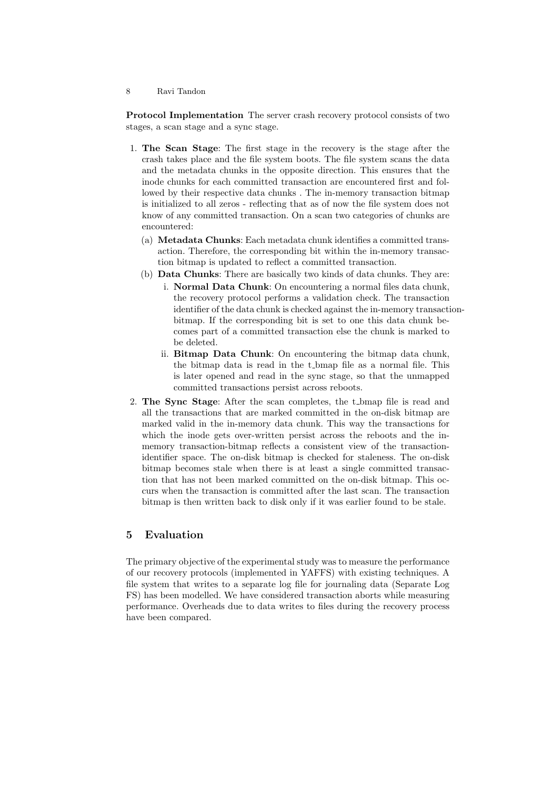**Protocol Implementation** The server crash recovery protocol consists of two stages, a scan stage and a sync stage.

- 1. **The Scan Stage**: The first stage in the recovery is the stage after the crash takes place and the file system boots. The file system scans the data and the metadata chunks in the opposite direction. This ensures that the inode chunks for each committed transaction are encountered first and followed by their respective data chunks . The in-memory transaction bitmap is initialized to all zeros - reflecting that as of now the file system does not know of any committed transaction. On a scan two categories of chunks are encountered:
	- (a) **Metadata Chunks**: Each metadata chunk identifies a committed transaction. Therefore, the corresponding bit within the in-memory transaction bitmap is updated to reflect a committed transaction.
	- (b) **Data Chunks**: There are basically two kinds of data chunks. They are:
		- i. **Normal Data Chunk**: On encountering a normal files data chunk, the recovery protocol performs a validation check. The transaction identifier of the data chunk is checked against the in-memory transactionbitmap. If the corresponding bit is set to one this data chunk becomes part of a committed transaction else the chunk is marked to be deleted.
		- ii. **Bitmap Data Chunk**: On encountering the bitmap data chunk, the bitmap data is read in the t bmap file as a normal file. This is later opened and read in the sync stage, so that the unmapped committed transactions persist across reboots.
- 2. **The Sync Stage**: After the scan completes, the t bmap file is read and all the transactions that are marked committed in the on-disk bitmap are marked valid in the in-memory data chunk. This way the transactions for which the inode gets over-written persist across the reboots and the inmemory transaction-bitmap reflects a consistent view of the transactionidentifier space. The on-disk bitmap is checked for staleness. The on-disk bitmap becomes stale when there is at least a single committed transaction that has not been marked committed on the on-disk bitmap. This occurs when the transaction is committed after the last scan. The transaction bitmap is then written back to disk only if it was earlier found to be stale.

## **5 Evaluation**

The primary objective of the experimental study was to measure the performance of our recovery protocols (implemented in YAFFS) with existing techniques. A file system that writes to a separate log file for journaling data (Separate Log FS) has been modelled. We have considered transaction aborts while measuring performance. Overheads due to data writes to files during the recovery process have been compared.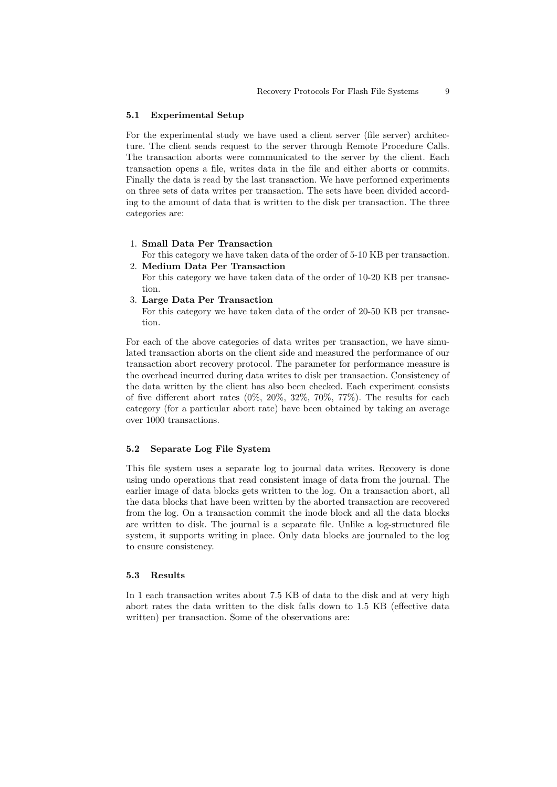#### **5.1 Experimental Setup**

For the experimental study we have used a client server (file server) architecture. The client sends request to the server through Remote Procedure Calls. The transaction aborts were communicated to the server by the client. Each transaction opens a file, writes data in the file and either aborts or commits. Finally the data is read by the last transaction. We have performed experiments on three sets of data writes per transaction. The sets have been divided according to the amount of data that is written to the disk per transaction. The three categories are:

#### 1. **Small Data Per Transaction**

For this category we have taken data of the order of 5-10 KB per transaction.

2. **Medium Data Per Transaction**

For this category we have taken data of the order of 10-20 KB per transaction.

3. **Large Data Per Transaction**

For this category we have taken data of the order of 20-50 KB per transaction.

For each of the above categories of data writes per transaction, we have simulated transaction aborts on the client side and measured the performance of our transaction abort recovery protocol. The parameter for performance measure is the overhead incurred during data writes to disk per transaction. Consistency of the data written by the client has also been checked. Each experiment consists of five different abort rates  $(0\%, 20\%, 32\%, 70\%, 77\%)$ . The results for each category (for a particular abort rate) have been obtained by taking an average over 1000 transactions.

#### **5.2 Separate Log File System**

This file system uses a separate log to journal data writes. Recovery is done using undo operations that read consistent image of data from the journal. The earlier image of data blocks gets written to the log. On a transaction abort, all the data blocks that have been written by the aborted transaction are recovered from the log. On a transaction commit the inode block and all the data blocks are written to disk. The journal is a separate file. Unlike a log-structured file system, it supports writing in place. Only data blocks are journaled to the log to ensure consistency.

#### **5.3 Results**

In 1 each transaction writes about 7.5 KB of data to the disk and at very high abort rates the data written to the disk falls down to 1.5 KB (effective data written) per transaction. Some of the observations are: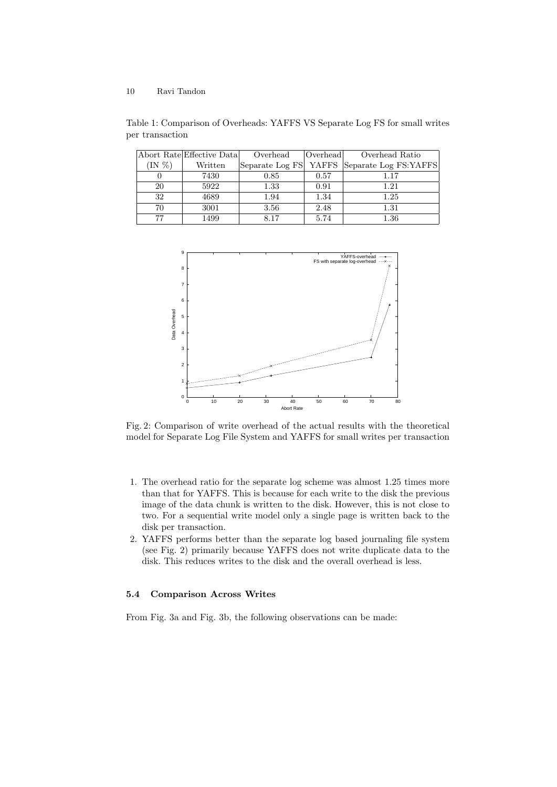Table 1: Comparison of Overheads: YAFFS VS Separate Log FS for small writes per transaction

|                                | Abort Rate Effective Data | Overhead | Overhead | Overhead Ratio                              |
|--------------------------------|---------------------------|----------|----------|---------------------------------------------|
| $\left(\mathrm{IN}\ \%\right)$ | Written                   |          |          | Separate Log FS YAFFS Separate Log FS:YAFFS |
|                                | 7430                      | 0.85     | 0.57     | 1.17                                        |
| 20                             | 5922                      | 1.33     | 0.91     | 1.21                                        |
| 32                             | 4689                      | 1.94     | 1.34     | 1.25                                        |
| 70                             | 3001                      | 3.56     | 2.48     | $1.31\,$                                    |
| 77                             | 1499                      | 8.17     | 5.74     | $1.36\,$                                    |



Fig. 2: Comparison of write overhead of the actual results with the theoretical model for Separate Log File System and YAFFS for small writes per transaction

- 1. The overhead ratio for the separate log scheme was almost 1.25 times more than that for YAFFS. This is because for each write to the disk the previous image of the data chunk is written to the disk. However, this is not close to two. For a sequential write model only a single page is written back to the disk per transaction.
- 2. YAFFS performs better than the separate log based journaling file system (see Fig. 2) primarily because YAFFS does not write duplicate data to the disk. This reduces writes to the disk and the overall overhead is less.

#### **5.4 Comparison Across Writes**

From Fig. 3a and Fig. 3b, the following observations can be made: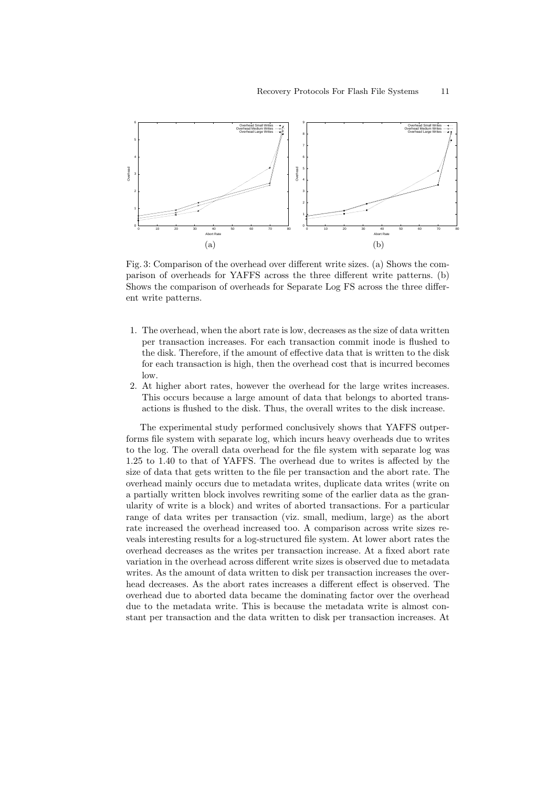

Fig. 3: Comparison of the overhead over different write sizes. (a) Shows the comparison of overheads for YAFFS across the three different write patterns. (b) Shows the comparison of overheads for Separate Log FS across the three different write patterns.

- 1. The overhead, when the abort rate is low, decreases as the size of data written per transaction increases. For each transaction commit inode is flushed to the disk. Therefore, if the amount of effective data that is written to the disk for each transaction is high, then the overhead cost that is incurred becomes low.
- 2. At higher abort rates, however the overhead for the large writes increases. This occurs because a large amount of data that belongs to aborted transactions is flushed to the disk. Thus, the overall writes to the disk increase.

The experimental study performed conclusively shows that YAFFS outperforms file system with separate log, which incurs heavy overheads due to writes to the log. The overall data overhead for the file system with separate log was 1.25 to 1.40 to that of YAFFS. The overhead due to writes is affected by the size of data that gets written to the file per transaction and the abort rate. The overhead mainly occurs due to metadata writes, duplicate data writes (write on a partially written block involves rewriting some of the earlier data as the granularity of write is a block) and writes of aborted transactions. For a particular range of data writes per transaction (viz. small, medium, large) as the abort rate increased the overhead increased too. A comparison across write sizes reveals interesting results for a log-structured file system. At lower abort rates the overhead decreases as the writes per transaction increase. At a fixed abort rate variation in the overhead across different write sizes is observed due to metadata writes. As the amount of data written to disk per transaction increases the overhead decreases. As the abort rates increases a different effect is observed. The overhead due to aborted data became the dominating factor over the overhead due to the metadata write. This is because the metadata write is almost constant per transaction and the data written to disk per transaction increases. At